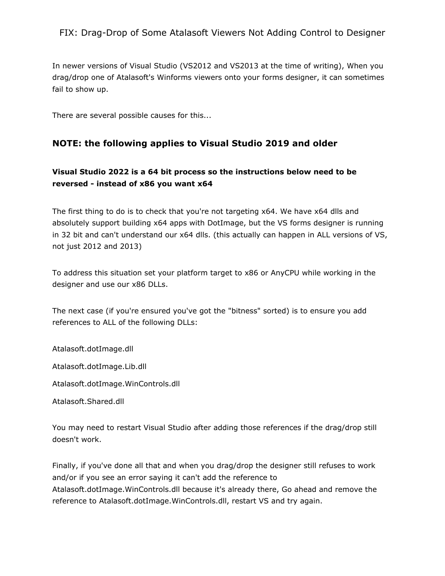# FIX: Drag-Drop of Some Atalasoft Viewers Not Adding Control to Designer

In newer versions of Visual Studio (VS2012 and VS2013 at the time of writing), When you drag/drop one of Atalasoft's Winforms viewers onto your forms designer, it can sometimes fail to show up.

There are several possible causes for this...

#### NOTE: the following applies to Visual Studio 2019 and older

# Visual Studio 2022 is a 64 bit process so the instructions below need to be reversed - instead of x86 you want x64

The first thing to do is to check that you're not targeting x64. We have x64 dlls and absolutely support building x64 apps with DotImage, but the VS forms designer is running in 32 bit and can't understand our x64 dlls. (this actually can happen in ALL versions of VS, not just 2012 and 2013)

To address this situation set your platform target to x86 or AnyCPU while working in the designer and use our x86 DLLs.

The next case (if you're ensured you've got the "bitness" sorted) is to ensure you add references to ALL of the following DLLs:

Atalasoft.dotImage.dll

Atalasoft.dotImage.Lib.dll

Atalasoft.dotImage.WinControls.dll

Atalasoft.Shared.dll

You may need to restart Visual Studio after adding those references if the drag/drop still doesn't work.

Finally, if you've done all that and when you drag/drop the designer still refuses to work and/or if you see an error saying it can't add the reference to

Atalasoft.dotImage.WinControls.dll because it's already there, Go ahead and remove the reference to Atalasoft.dotImage.WinControls.dll, restart VS and try again.